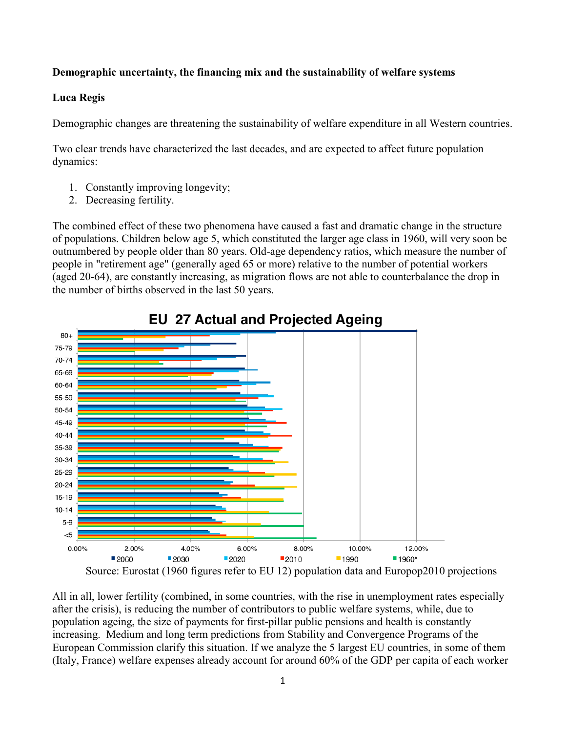## **Demographic uncertainty, the financing mix and the sustainability of welfare systems**

## **Luca Regis**

Demographic changes are threatening the sustainability of welfare expenditure in all Western countries.

Two clear trends have characterized the last decades, and are expected to affect future population dynamics:

- 1. Constantly improving longevity;
- 2. Decreasing fertility.

The combined effect of these two phenomena have caused a fast and dramatic change in the structure of populations. Children below age 5, which constituted the larger age class in 1960, will very soon be outnumbered by people older than 80 years. Old-age dependency ratios, which measure the number of people in "retirement age" (generally aged 65 or more) relative to the number of potential workers (aged 20-64), are constantly increasing, as migration flows are not able to counterbalance the drop in the number of births observed in the last 50 years.



## **EU 27 Actual and Projected Ageing**

All in all, lower fertility (combined, in some countries, with the rise in unemployment rates especially after the crisis), is reducing the number of contributors to public welfare systems, while, due to population ageing, the size of payments for first-pillar public pensions and health is constantly increasing. Medium and long term predictions from Stability and Convergence Programs of the European Commission clarify this situation. If we analyze the 5 largest EU countries, in some of them (Italy, France) welfare expenses already account for around 60% of the GDP per capita of each worker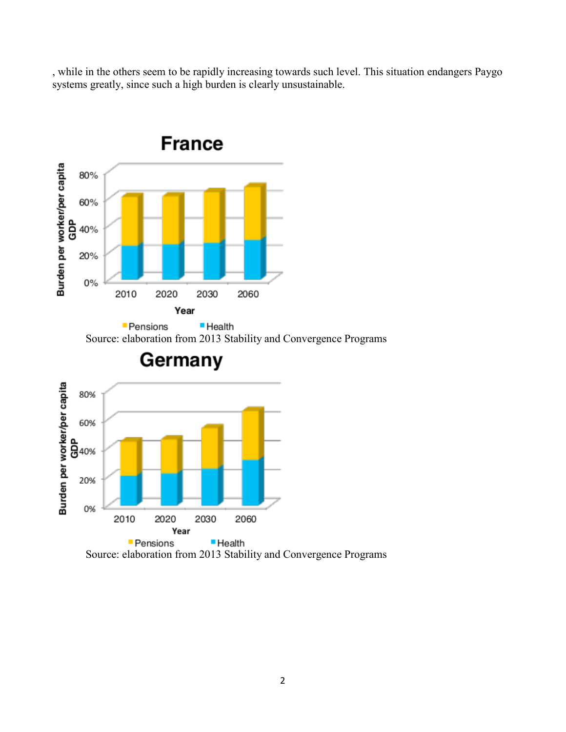, while in the others seem to be rapidly increasing towards such level. This situation endangers Paygo systems greatly, since such a high burden is clearly unsustainable.



Source: elaboration from 2013 Stability and Convergence Programs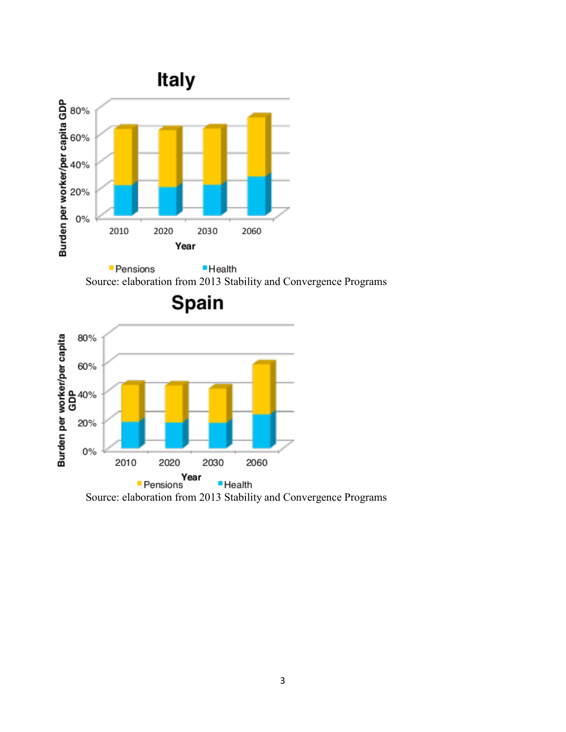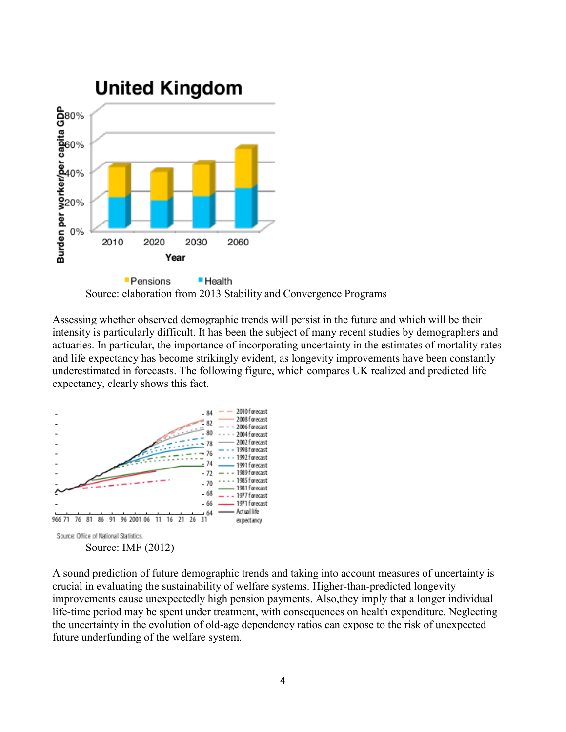

Source: elaboration from 2013 Stability and Convergence Programs

Assessing whether observed demographic trends will persist in the future and which will be their intensity is particularly difficult. It has been the subject of many recent studies by demographers and actuaries. In particular, the importance of incorporating uncertainty in the estimates of mortality rates and life expectancy has become strikingly evident, as longevity improvements have been constantly underestimated in forecasts. The following figure, which compares UK realized and predicted life expectancy, clearly shows this fact.



A sound prediction of future demographic trends and taking into account measures of uncertainty is crucial in evaluating the sustainability of welfare systems. Higher-than-predicted longevity improvements cause unexpectedly high pension payments. Also,they imply that a longer individual life-time period may be spent under treatment, with consequences on health expenditure. Neglecting the uncertainty in the evolution of old-age dependency ratios can expose to the risk of unexpected future underfunding of the welfare system.